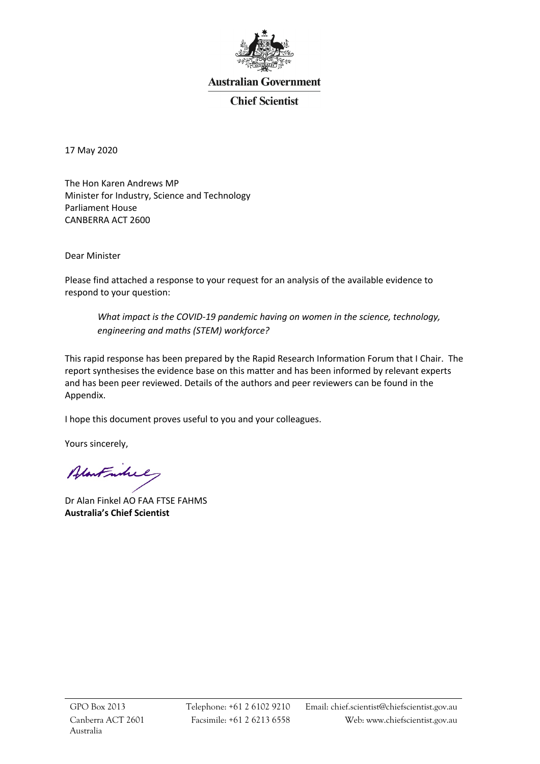

# **Australian Government**

# **Chief Scientist**

17 May 2020

The Hon Karen Andrews MP Minister for Industry, Science and Technology Parliament House CANBERRA ACT 2600

Dear Minister

Please find attached a response to your request for an analysis of the available evidence to respond to your question:

*What impact is the COVID-19 pandemic having on women in the science, technology, engineering and maths (STEM) workforce?*

This rapid response has been prepared by the Rapid Research Information Forum that I Chair. The report synthesises the evidence base on this matter and has been informed by relevant experts and has been peer reviewed. Details of the authors and peer reviewers can be found in the Appendix.

I hope this document proves useful to you and your colleagues.

Yours sincerely,

Alantmhil

Dr Alan Finkel AO FAA FTSE FAHMS **Australia's Chief Scientist**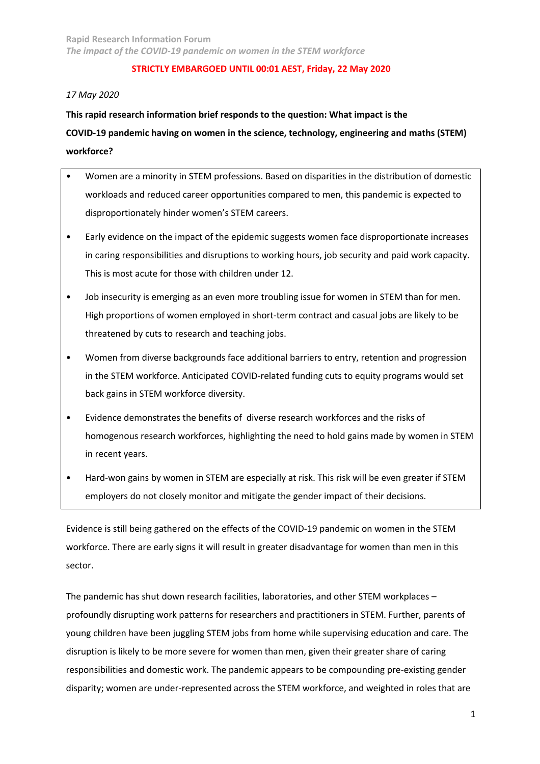## *17 May 2020*

**This rapid research information brief responds to the question: What impact is the COVID-19 pandemic having on women in the science, technology, engineering and maths (STEM) workforce?**

- Women are a minority in STEM professions. Based on disparities in the distribution of domestic workloads and reduced career opportunities compared to men, this pandemic is expected to disproportionately hinder women's STEM careers.
- Early evidence on the impact of the epidemic suggests women face disproportionate increases in caring responsibilities and disruptions to working hours, job security and paid work capacity. This is most acute for those with children under 12.
- Job insecurity is emerging as an even more troubling issue for women in STEM than for men. High proportions of women employed in short-term contract and casual jobs are likely to be threatened by cuts to research and teaching jobs.
- Women from diverse backgrounds face additional barriers to entry, retention and progression in the STEM workforce. Anticipated COVID-related funding cuts to equity programs would set back gains in STEM workforce diversity.
- Evidence demonstrates the benefits of diverse research workforces and the risks of homogenous research workforces, highlighting the need to hold gains made by women in STEM in recent years.
- Hard-won gains by women in STEM are especially at risk. This risk will be even greater if STEM employers do not closely monitor and mitigate the gender impact of their decisions.

Evidence is still being gathered on the effects of the COVID-19 pandemic on women in the STEM workforce. There are early signs it will result in greater disadvantage for women than men in this sector.

The pandemic has shut down research facilities, laboratories, and other STEM workplaces – profoundly disrupting work patterns for researchers and practitioners in STEM. Further, parents of young children have been juggling STEM jobs from home while supervising education and care. The disruption is likely to be more severe for women than men, given their greater share of caring responsibilities and domestic work. The pandemic appears to be compounding pre-existing gender disparity; women are under-represented across the STEM workforce, and weighted in roles that are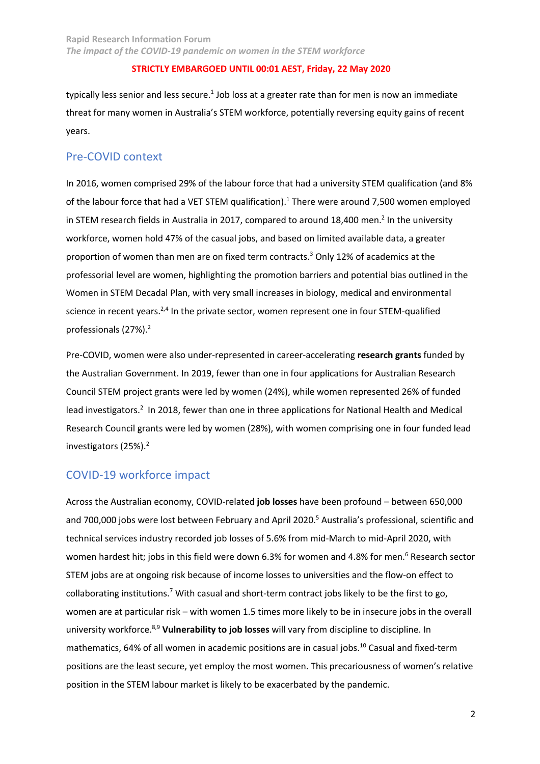typically less senior and less secure.<sup>1</sup> Job loss at a greater rate than for men is now an immediate threat for many women in Australia's STEM workforce, potentially reversing equity gains of recent years.

# Pre-COVID context

In 2016, women comprised 29% of the labour force that had a university STEM qualification (and 8% of the labour force that had a VET STEM qualification).<sup>1</sup> There were around 7,500 women employed in STEM research fields in Australia in 2017, compared to around 18,400 men.<sup>2</sup> In the university workforce, women hold 47% of the casual jobs, and based on limited available data, a greater proportion of women than men are on fixed term contracts. <sup>3</sup> Only 12% of academics at the professorial level are women, highlighting the promotion barriers and potential bias outlined in the Women in STEM Decadal Plan, with very small increases in biology, medical and environmental science in recent years. $2,4$  In the private sector, women represent one in four STEM-qualified professionals (27%).<sup>2</sup>

Pre-COVID, women were also under-represented in career-accelerating **research grants** funded by the Australian Government. In 2019, fewer than one in four applications for Australian Research Council STEM project grants were led by women (24%), while women represented 26% of funded lead investigators.<sup>2</sup> In 2018, fewer than one in three applications for National Health and Medical Research Council grants were led by women (28%), with women comprising one in four funded lead investigators (25%). 2

# COVID-19 workforce impact

Across the Australian economy, COVID-related **job losses** have been profound – between 650,000 and 700,000 jobs were lost between February and April 2020.<sup>5</sup> Australia's professional, scientific and technical services industry recorded job losses of 5.6% from mid-March to mid-April 2020, with women hardest hit; jobs in this field were down 6.3% for women and 4.8% for men.<sup>6</sup> Research sector STEM jobs are at ongoing risk because of income losses to universities and the flow-on effect to collaborating institutions.<sup>7</sup> With casual and short-term contract jobs likely to be the first to go, women are at particular risk – with women 1.5 times more likely to be in insecure jobs in the overall university workforce. 8,9 **Vulnerability to job losses** will vary from discipline to discipline. In mathematics, 64% of all women in academic positions are in casual jobs.<sup>10</sup> Casual and fixed-term positions are the least secure, yet employ the most women. This precariousness of women's relative position in the STEM labour market is likely to be exacerbated by the pandemic.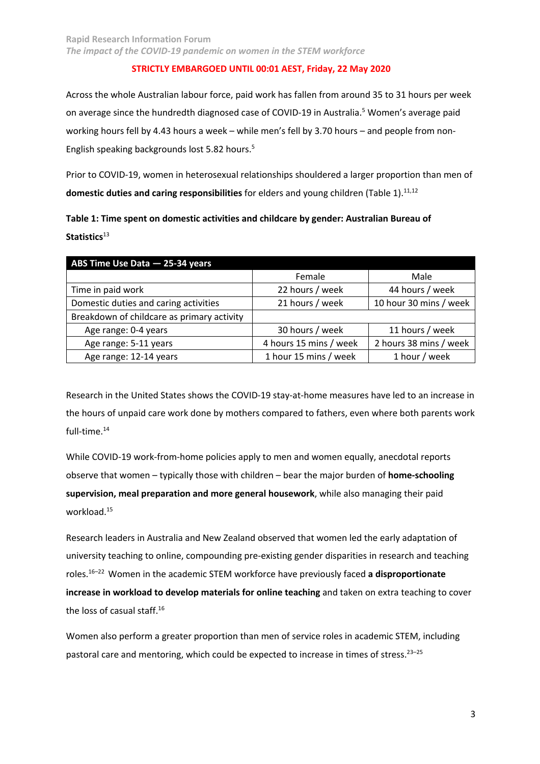**Rapid Research Information Forum**  *The impact of the COVID-19 pandemic on women in the STEM workforce*

#### **STRICTLY EMBARGOED UNTIL 00:01 AEST, Friday, 22 May 2020**

Across the whole Australian labour force, paid work has fallen from around 35 to 31 hours per week on average since the hundredth diagnosed case of COVID-19 in Australia.<sup>5</sup> Women's average paid working hours fell by 4.43 hours a week – while men's fell by 3.70 hours – and people from non-English speaking backgrounds lost 5.82 hours.<sup>5</sup>

Prior to COVID-19, women in heterosexual relationships shouldered a larger proportion than men of domestic duties and caring responsibilities for elders and young children (Table 1).<sup>11,12</sup>

**Table 1: Time spent on domestic activities and childcare by gender: Australian Bureau of**  Statistics<sup>13</sup>

| ABS Time Use Data - 25-34 years            |                        |                        |  |  |  |
|--------------------------------------------|------------------------|------------------------|--|--|--|
|                                            | Female                 | Male                   |  |  |  |
| Time in paid work                          | 22 hours / week        | 44 hours / week        |  |  |  |
| Domestic duties and caring activities      | 21 hours / week        | 10 hour 30 mins / week |  |  |  |
| Breakdown of childcare as primary activity |                        |                        |  |  |  |
| Age range: 0-4 years                       | 30 hours / week        | 11 hours / week        |  |  |  |
| Age range: 5-11 years                      | 4 hours 15 mins / week | 2 hours 38 mins / week |  |  |  |
| Age range: 12-14 years                     | 1 hour 15 mins / week  | 1 hour / week          |  |  |  |

Research in the United States shows the COVID-19 stay-at-home measures have led to an increase in the hours of unpaid care work done by mothers compared to fathers, even where both parents work full-time.<sup>14</sup>

While COVID-19 work-from-home policies apply to men and women equally, anecdotal reports observe that women – typically those with children – bear the major burden of **home-schooling supervision, meal preparation and more general housework**, while also managing their paid workload.15

Research leaders in Australia and New Zealand observed that women led the early adaptation of university teaching to online, compounding pre-existing gender disparities in research and teaching roles.16–22 Women in the academic STEM workforce have previously faced **a disproportionate increase in workload to develop materials for online teaching** and taken on extra teaching to cover the loss of casual staff.<sup>16</sup>

Women also perform a greater proportion than men of service roles in academic STEM, including pastoral care and mentoring, which could be expected to increase in times of stress.<sup>23-25</sup>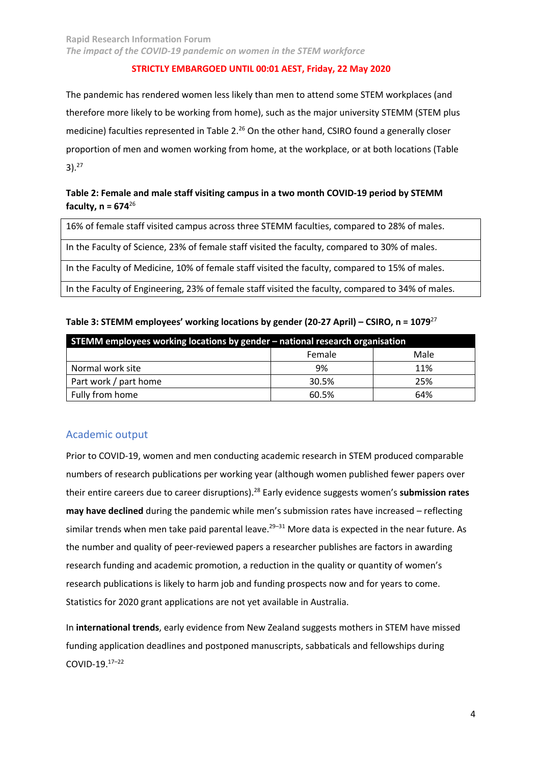The pandemic has rendered women less likely than men to attend some STEM workplaces (and therefore more likely to be working from home), such as the major university STEMM (STEM plus medicine) faculties represented in Table 2.<sup>26</sup> On the other hand, CSIRO found a generally closer proportion of men and women working from home, at the workplace, or at both locations (Table  $3)$ .<sup>27</sup>

# **Table 2: Female and male staff visiting campus in a two month COVID-19 period by STEMM faculty, n = 674**<sup>26</sup>

16% of female staff visited campus across three STEMM faculties, compared to 28% of males.

In the Faculty of Science, 23% of female staff visited the faculty, compared to 30% of males.

In the Faculty of Medicine, 10% of female staff visited the faculty, compared to 15% of males.

In the Faculty of Engineering, 23% of female staff visited the faculty, compared to 34% of males.

| Table 3: STEMM employees' working locations by gender (20-27 April) – CSIRO, n = 1079 $^{27}$ |  |  |
|-----------------------------------------------------------------------------------------------|--|--|
|                                                                                               |  |  |

| STEMM employees working locations by gender – national research organisation |        |      |  |  |  |
|------------------------------------------------------------------------------|--------|------|--|--|--|
|                                                                              | Female | Male |  |  |  |
| Normal work site                                                             | 9%     | 11%  |  |  |  |
| Part work / part home                                                        | 30.5%  | 25%  |  |  |  |
| Fully from home                                                              | 60.5%  | 64%  |  |  |  |

# Academic output

Prior to COVID-19, women and men conducting academic research in STEM produced comparable numbers of research publications per working year (although women published fewer papers over their entire careers due to career disruptions).28 Early evidence suggests women's **submission rates may have declined** during the pandemic while men's submission rates have increased – reflecting similar trends when men take paid parental leave.<sup>29-31</sup> More data is expected in the near future. As the number and quality of peer-reviewed papers a researcher publishes are factors in awarding research funding and academic promotion, a reduction in the quality or quantity of women's research publications is likely to harm job and funding prospects now and for years to come. Statistics for 2020 grant applications are not yet available in Australia.

In **international trends**, early evidence from New Zealand suggests mothers in STEM have missed funding application deadlines and postponed manuscripts, sabbaticals and fellowships during COVID-19.17–22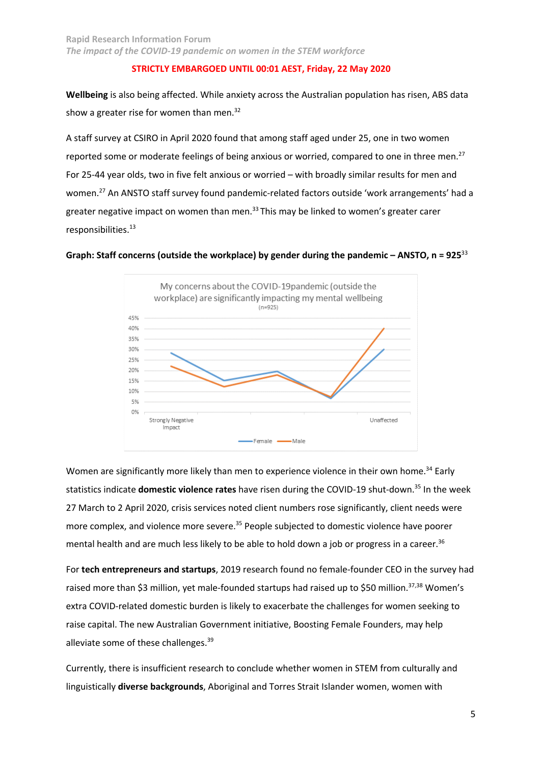**Wellbeing** is also being affected. While anxiety across the Australian population has risen, ABS data show a greater rise for women than men.<sup>32</sup>

A staff survey at CSIRO in April 2020 found that among staff aged under 25, one in two women reported some or moderate feelings of being anxious or worried, compared to one in three men.<sup>27</sup> For 25-44 year olds, two in five felt anxious or worried – with broadly similar results for men and women.<sup>27</sup> An ANSTO staff survey found pandemic-related factors outside 'work arrangements' had a greater negative impact on women than men. $33$  This may be linked to women's greater carer responsibilities.13





Women are significantly more likely than men to experience violence in their own home.<sup>34</sup> Early statistics indicate **domestic violence rates** have risen during the COVID-19 shut-down.35 In the week 27 March to 2 April 2020, crisis services noted client numbers rose significantly, client needs were more complex, and violence more severe.<sup>35</sup> People subjected to domestic violence have poorer mental health and are much less likely to be able to hold down a job or progress in a career.<sup>36</sup>

For **tech entrepreneurs and startups**, 2019 research found no female-founder CEO in the survey had raised more than \$3 million, yet male-founded startups had raised up to \$50 million.<sup>37,38</sup> Women's extra COVID-related domestic burden is likely to exacerbate the challenges for women seeking to raise capital. The new Australian Government initiative, Boosting Female Founders, may help alleviate some of these challenges.<sup>39</sup>

Currently, there is insufficient research to conclude whether women in STEM from culturally and linguistically **diverse backgrounds**, Aboriginal and Torres Strait Islander women, women with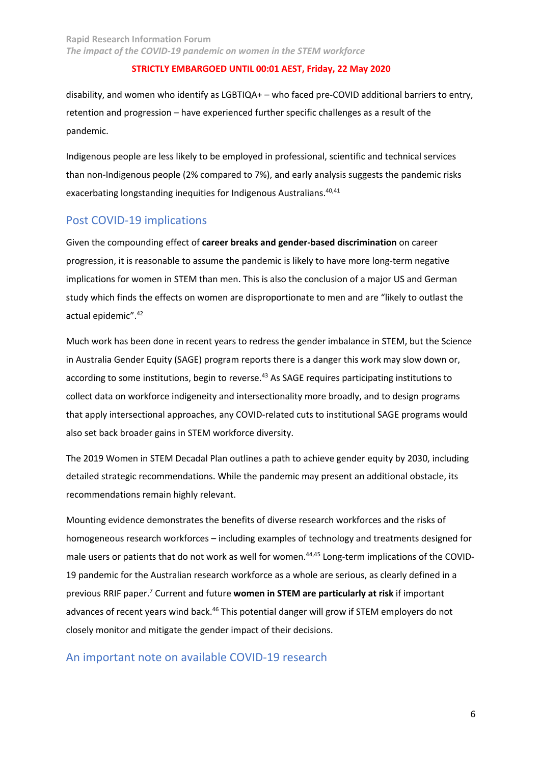disability, and women who identify as LGBTIQA+ – who faced pre-COVID additional barriers to entry, retention and progression – have experienced further specific challenges as a result of the pandemic.

Indigenous people are less likely to be employed in professional, scientific and technical services than non-Indigenous people (2% compared to 7%), and early analysis suggests the pandemic risks exacerbating longstanding inequities for Indigenous Australians.<sup>40,41</sup>

# Post COVID-19 implications

Given the compounding effect of **career breaks and gender-based discrimination** on career progression, it is reasonable to assume the pandemic is likely to have more long-term negative implications for women in STEM than men. This is also the conclusion of a major US and German study which finds the effects on women are disproportionate to men and are "likely to outlast the actual epidemic".42

Much work has been done in recent years to redress the gender imbalance in STEM, but the Science in Australia Gender Equity (SAGE) program reports there is a danger this work may slow down or, according to some institutions, begin to reverse.<sup>43</sup> As SAGE requires participating institutions to collect data on workforce indigeneity and intersectionality more broadly, and to design programs that apply intersectional approaches, any COVID-related cuts to institutional SAGE programs would also set back broader gains in STEM workforce diversity.

The 2019 Women in STEM Decadal Plan outlines a path to achieve gender equity by 2030, including detailed strategic recommendations. While the pandemic may present an additional obstacle, its recommendations remain highly relevant.

Mounting evidence demonstrates the benefits of diverse research workforces and the risks of homogeneous research workforces – including examples of technology and treatments designed for male users or patients that do not work as well for women.<sup>44,45</sup> Long-term implications of the COVID-19 pandemic for the Australian research workforce as a whole are serious, as clearly defined in a previous RRIF paper.7 Current and future **women in STEM are particularly at risk** if important advances of recent years wind back.<sup>46</sup> This potential danger will grow if STEM employers do not closely monitor and mitigate the gender impact of their decisions.

# An important note on available COVID-19 research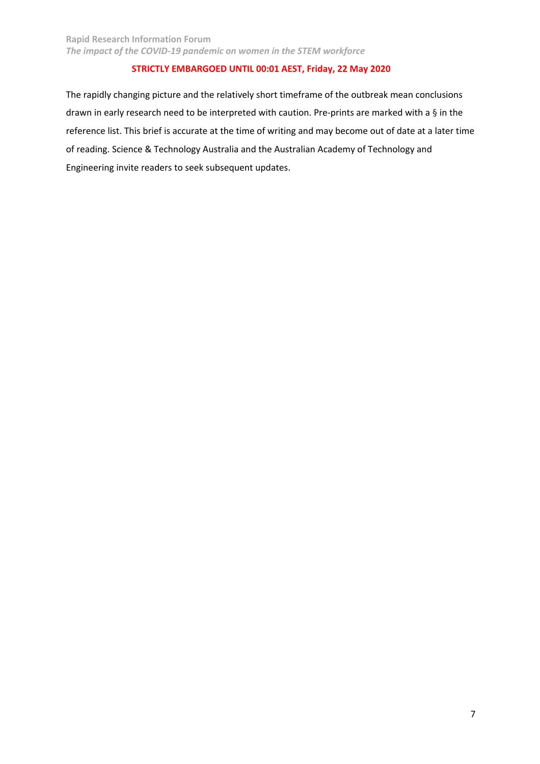The rapidly changing picture and the relatively short timeframe of the outbreak mean conclusions drawn in early research need to be interpreted with caution. Pre-prints are marked with a § in the reference list. This brief is accurate at the time of writing and may become out of date at a later time of reading. Science & Technology Australia and the Australian Academy of Technology and Engineering invite readers to seek subsequent updates.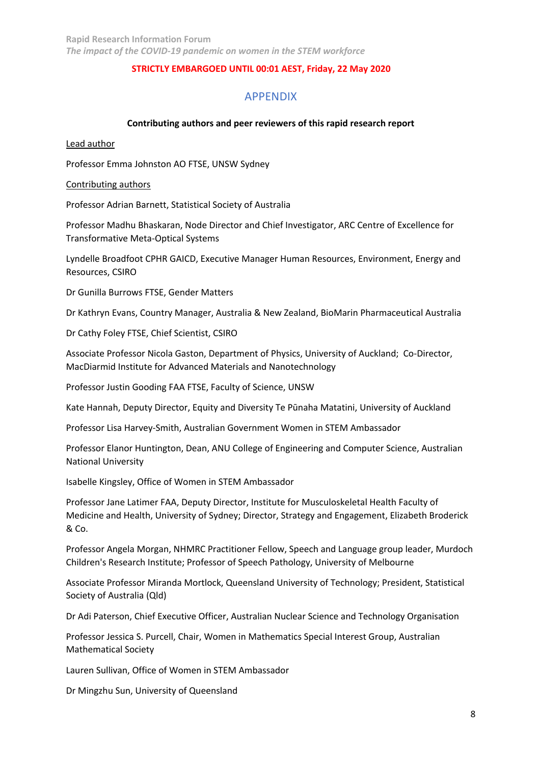# APPENDIX

#### **Contributing authors and peer reviewers of this rapid research report**

Lead author

Professor Emma Johnston AO FTSE, UNSW Sydney

#### Contributing authors

Professor Adrian Barnett, Statistical Society of Australia

Professor Madhu Bhaskaran, Node Director and Chief Investigator, ARC Centre of Excellence for Transformative Meta-Optical Systems

Lyndelle Broadfoot CPHR GAICD, Executive Manager Human Resources, Environment, Energy and Resources, CSIRO

Dr Gunilla Burrows FTSE, Gender Matters

Dr Kathryn Evans, Country Manager, Australia & New Zealand, BioMarin Pharmaceutical Australia

Dr Cathy Foley FTSE, Chief Scientist, CSIRO

Associate Professor Nicola Gaston, Department of Physics, University of Auckland; Co-Director, MacDiarmid Institute for Advanced Materials and Nanotechnology

Professor Justin Gooding FAA FTSE, Faculty of Science, UNSW

Kate Hannah, Deputy Director, Equity and Diversity Te Pūnaha Matatini, University of Auckland

Professor Lisa Harvey-Smith, Australian Government Women in STEM Ambassador

Professor Elanor Huntington, Dean, ANU College of Engineering and Computer Science, Australian National University

Isabelle Kingsley, Office of Women in STEM Ambassador

Professor Jane Latimer FAA, Deputy Director, Institute for Musculoskeletal Health Faculty of Medicine and Health, University of Sydney; Director, Strategy and Engagement, Elizabeth Broderick & Co.

Professor Angela Morgan, NHMRC Practitioner Fellow, Speech and Language group leader, Murdoch Children's Research Institute; Professor of Speech Pathology, University of Melbourne

Associate Professor Miranda Mortlock, Queensland University of Technology; President, Statistical Society of Australia (Qld)

Dr Adi Paterson, Chief Executive Officer, Australian Nuclear Science and Technology Organisation

Professor Jessica S. Purcell, Chair, Women in Mathematics Special Interest Group, Australian Mathematical Society

Lauren Sullivan, Office of Women in STEM Ambassador

Dr Mingzhu Sun, University of Queensland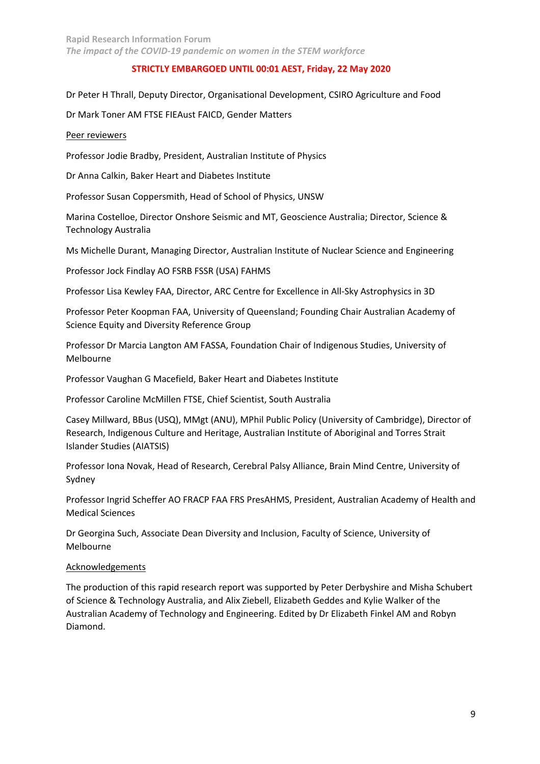Dr Peter H Thrall, Deputy Director, Organisational Development, CSIRO Agriculture and Food

Dr Mark Toner AM FTSE FIEAust FAICD, Gender Matters

#### Peer reviewers

Professor Jodie Bradby, President, Australian Institute of Physics

Dr Anna Calkin, Baker Heart and Diabetes Institute

Professor Susan Coppersmith, Head of School of Physics, UNSW

Marina Costelloe, Director Onshore Seismic and MT, Geoscience Australia; Director, Science & Technology Australia

Ms Michelle Durant, Managing Director, Australian Institute of Nuclear Science and Engineering

Professor Jock Findlay AO FSRB FSSR (USA) FAHMS

Professor Lisa Kewley FAA, Director, ARC Centre for Excellence in All-Sky Astrophysics in 3D

Professor Peter Koopman FAA, University of Queensland; Founding Chair Australian Academy of Science Equity and Diversity Reference Group

Professor Dr Marcia Langton AM FASSA, Foundation Chair of Indigenous Studies, University of Melbourne

Professor Vaughan G Macefield, Baker Heart and Diabetes Institute

Professor Caroline McMillen FTSE, Chief Scientist, South Australia

Casey Millward, BBus (USQ), MMgt (ANU), MPhil Public Policy (University of Cambridge), Director of Research, Indigenous Culture and Heritage, Australian Institute of Aboriginal and Torres Strait Islander Studies (AIATSIS)

Professor Iona Novak, Head of Research, Cerebral Palsy Alliance, Brain Mind Centre, University of Sydney

Professor Ingrid Scheffer AO FRACP FAA FRS PresAHMS, President, Australian Academy of Health and Medical Sciences

Dr Georgina Such, Associate Dean Diversity and Inclusion, Faculty of Science, University of Melbourne

# Acknowledgements

The production of this rapid research report was supported by Peter Derbyshire and Misha Schubert of Science & Technology Australia, and Alix Ziebell, Elizabeth Geddes and Kylie Walker of the Australian Academy of Technology and Engineering. Edited by Dr Elizabeth Finkel AM and Robyn Diamond.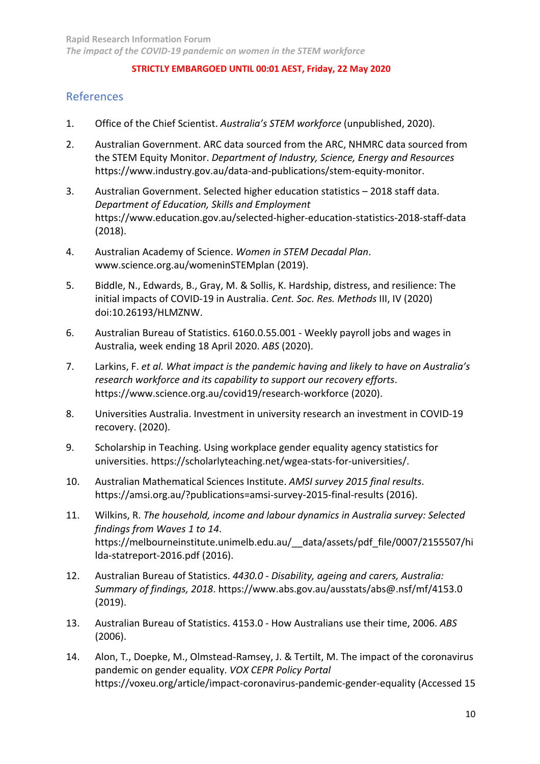# References

- 1. Office of the Chief Scientist. *Australia's STEM workforce* (unpublished, 2020).
- 2. Australian Government. ARC data sourced from the ARC, NHMRC data sourced from the STEM Equity Monitor. *Department of Industry, Science, Energy and Resources* https://www.industry.gov.au/data-and-publications/stem-equity-monitor.
- 3. Australian Government. Selected higher education statistics 2018 staff data. *Department of Education, Skills and Employment* https://www.education.gov.au/selected-higher-education-statistics-2018-staff-data (2018).
- 4. Australian Academy of Science. *Women in STEM Decadal Plan*. www.science.org.au/womeninSTEMplan (2019).
- 5. Biddle, N., Edwards, B., Gray, M. & Sollis, K. Hardship, distress, and resilience: The initial impacts of COVID-19 in Australia. *Cent. Soc. Res. Methods* III, IV (2020) doi:10.26193/HLMZNW.
- 6. Australian Bureau of Statistics. 6160.0.55.001 Weekly payroll jobs and wages in Australia, week ending 18 April 2020. *ABS* (2020).
- 7. Larkins, F. *et al. What impact is the pandemic having and likely to have on Australia's research workforce and its capability to support our recovery efforts*. https://www.science.org.au/covid19/research-workforce (2020).
- 8. Universities Australia. Investment in university research an investment in COVID-19 recovery. (2020).
- 9. Scholarship in Teaching. Using workplace gender equality agency statistics for universities. https://scholarlyteaching.net/wgea-stats-for-universities/.
- 10. Australian Mathematical Sciences Institute. *AMSI survey 2015 final results*. https://amsi.org.au/?publications=amsi-survey-2015-final-results (2016).
- 11. Wilkins, R. *The household, income and labour dynamics in Australia survey: Selected findings from Waves 1 to 14*. https://melbourneinstitute.unimelb.edu.au/\_\_data/assets/pdf\_file/0007/2155507/hi lda-statreport-2016.pdf (2016).
- 12. Australian Bureau of Statistics. *4430.0 - Disability, ageing and carers, Australia: Summary of findings, 2018*. https://www.abs.gov.au/ausstats/abs@.nsf/mf/4153.0 (2019).
- 13. Australian Bureau of Statistics. 4153.0 How Australians use their time, 2006. *ABS* (2006).
- 14. Alon, T., Doepke, M., Olmstead-Ramsey, J. & Tertilt, M. The impact of the coronavirus pandemic on gender equality. *VOX CEPR Policy Portal* https://voxeu.org/article/impact-coronavirus-pandemic-gender-equality (Accessed 15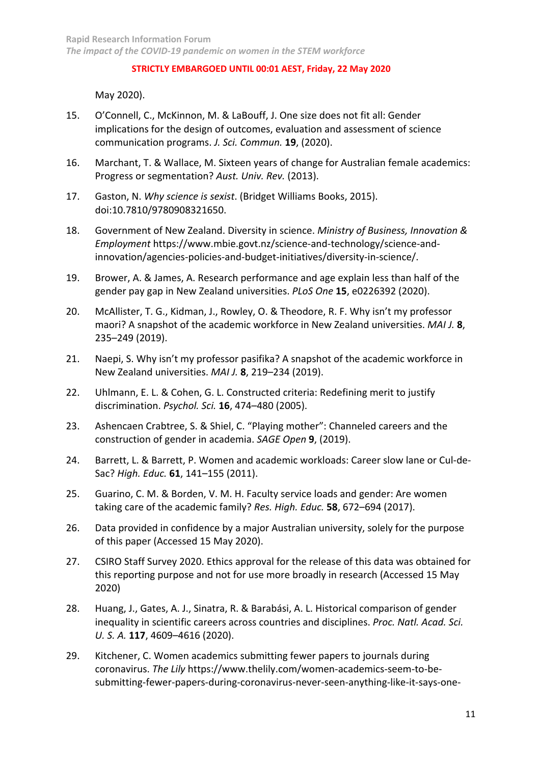May 2020).

- 15. O'Connell, C., McKinnon, M. & LaBouff, J. One size does not fit all: Gender implications for the design of outcomes, evaluation and assessment of science communication programs. *J. Sci. Commun.* **19**, (2020).
- 16. Marchant, T. & Wallace, M. Sixteen years of change for Australian female academics: Progress or segmentation? *Aust. Univ. Rev.* (2013).
- 17. Gaston, N. *Why science is sexist*. (Bridget Williams Books, 2015). doi:10.7810/9780908321650.
- 18. Government of New Zealand. Diversity in science. *Ministry of Business, Innovation & Employment* https://www.mbie.govt.nz/science-and-technology/science-andinnovation/agencies-policies-and-budget-initiatives/diversity-in-science/.
- 19. Brower, A. & James, A. Research performance and age explain less than half of the gender pay gap in New Zealand universities. *PLoS One* **15**, e0226392 (2020).
- 20. McAllister, T. G., Kidman, J., Rowley, O. & Theodore, R. F. Why isn't my professor maori? A snapshot of the academic workforce in New Zealand universities. *MAI J.* **8**, 235–249 (2019).
- 21. Naepi, S. Why isn't my professor pasifika? A snapshot of the academic workforce in New Zealand universities. *MAI J.* **8**, 219–234 (2019).
- 22. Uhlmann, E. L. & Cohen, G. L. Constructed criteria: Redefining merit to justify discrimination. *Psychol. Sci.* **16**, 474–480 (2005).
- 23. Ashencaen Crabtree, S. & Shiel, C. "Playing mother": Channeled careers and the construction of gender in academia. *SAGE Open* **9**, (2019).
- 24. Barrett, L. & Barrett, P. Women and academic workloads: Career slow lane or Cul-de-Sac? *High. Educ.* **61**, 141–155 (2011).
- 25. Guarino, C. M. & Borden, V. M. H. Faculty service loads and gender: Are women taking care of the academic family? *Res. High. Educ.* **58**, 672–694 (2017).
- 26. Data provided in confidence by a major Australian university, solely for the purpose of this paper (Accessed 15 May 2020).
- 27. CSIRO Staff Survey 2020. Ethics approval for the release of this data was obtained for this reporting purpose and not for use more broadly in research (Accessed 15 May 2020)
- 28. Huang, J., Gates, A. J., Sinatra, R. & Barabási, A. L. Historical comparison of gender inequality in scientific careers across countries and disciplines. *Proc. Natl. Acad. Sci. U. S. A.* **117**, 4609–4616 (2020).
- 29. Kitchener, C. Women academics submitting fewer papers to journals during coronavirus. *The Lily* https://www.thelily.com/women-academics-seem-to-besubmitting-fewer-papers-during-coronavirus-never-seen-anything-like-it-says-one-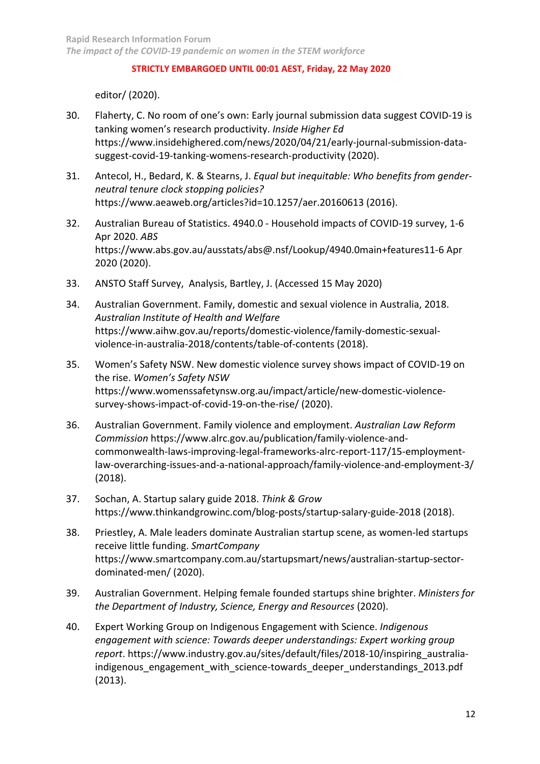editor/ (2020).

- 30. Flaherty, C. No room of one's own: Early journal submission data suggest COVID-19 is tanking women's research productivity. *Inside Higher Ed* https://www.insidehighered.com/news/2020/04/21/early-journal-submission-datasuggest-covid-19-tanking-womens-research-productivity (2020).
- 31. Antecol, H., Bedard, K. & Stearns, J. *Equal but inequitable: Who benefits from genderneutral tenure clock stopping policies?* https://www.aeaweb.org/articles?id=10.1257/aer.20160613 (2016).
- 32. Australian Bureau of Statistics. 4940.0 Household impacts of COVID-19 survey, 1-6 Apr 2020. *ABS* https://www.abs.gov.au/ausstats/abs@.nsf/Lookup/4940.0main+features11-6 Apr 2020 (2020).
- 33. ANSTO Staff Survey, Analysis, Bartley, J. (Accessed 15 May 2020)
- 34. Australian Government. Family, domestic and sexual violence in Australia, 2018. *Australian Institute of Health and Welfare* https://www.aihw.gov.au/reports/domestic-violence/family-domestic-sexualviolence-in-australia-2018/contents/table-of-contents (2018).
- 35. Women's Safety NSW. New domestic violence survey shows impact of COVID-19 on the rise. *Women's Safety NSW* https://www.womenssafetynsw.org.au/impact/article/new-domestic-violencesurvey-shows-impact-of-covid-19-on-the-rise/ (2020).
- 36. Australian Government. Family violence and employment. *Australian Law Reform Commission* https://www.alrc.gov.au/publication/family-violence-andcommonwealth-laws-improving-legal-frameworks-alrc-report-117/15-employmentlaw-overarching-issues-and-a-national-approach/family-violence-and-employment-3/ (2018).
- 37. Sochan, A. Startup salary guide 2018. *Think & Grow* https://www.thinkandgrowinc.com/blog-posts/startup-salary-guide-2018 (2018).
- 38. Priestley, A. Male leaders dominate Australian startup scene, as women-led startups receive little funding. *SmartCompany* https://www.smartcompany.com.au/startupsmart/news/australian-startup-sectordominated-men/ (2020).
- 39. Australian Government. Helping female founded startups shine brighter. *Ministers for the Department of Industry, Science, Energy and Resources* (2020).
- 40. Expert Working Group on Indigenous Engagement with Science. *Indigenous engagement with science: Towards deeper understandings: Expert working group report*. https://www.industry.gov.au/sites/default/files/2018-10/inspiring\_australiaindigenous engagement with science-towards deeper understandings 2013.pdf (2013).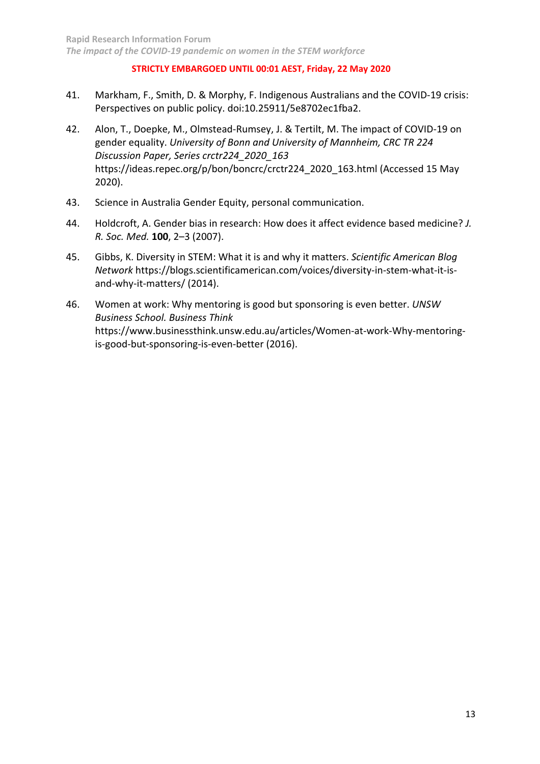- 41. Markham, F., Smith, D. & Morphy, F. Indigenous Australians and the COVID-19 crisis: Perspectives on public policy. doi:10.25911/5e8702ec1fba2.
- 42. Alon, T., Doepke, M., Olmstead-Rumsey, J. & Tertilt, M. The impact of COVID-19 on gender equality. *University of Bonn and University of Mannheim, CRC TR 224 Discussion Paper, Series crctr224\_2020\_163* https://ideas.repec.org/p/bon/boncrc/crctr224\_2020\_163.html (Accessed 15 May 2020).
- 43. Science in Australia Gender Equity, personal communication.
- 44. Holdcroft, A. Gender bias in research: How does it affect evidence based medicine? *J. R. Soc. Med.* **100**, 2–3 (2007).
- 45. Gibbs, K. Diversity in STEM: What it is and why it matters. *Scientific American Blog Network* https://blogs.scientificamerican.com/voices/diversity-in-stem-what-it-isand-why-it-matters/ (2014).
- 46. Women at work: Why mentoring is good but sponsoring is even better. *UNSW Business School. Business Think*  https://www.businessthink.unsw.edu.au/articles/Women-at-work-Why-mentoringis-good-but-sponsoring-is-even-better (2016).